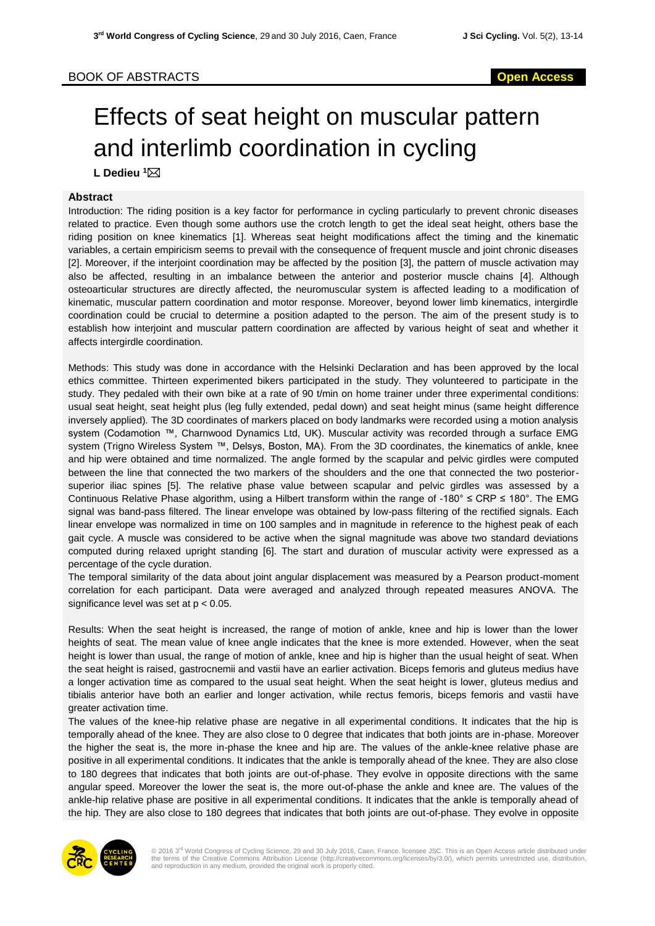# BOOK OF ABSTRACTS **Open Access**

# Effects of seat height on muscular pattern and interlimb coordination in cycling

**L Dedieu <sup>1</sup>**

## **Abstract**

Introduction: The riding position is a key factor for performance in cycling particularly to prevent chronic diseases related to practice. Even though some authors use the crotch length to get the ideal seat height, others base the riding position on knee kinematics [1]. Whereas seat height modifications affect the timing and the kinematic variables, a certain empiricism seems to prevail with the consequence of frequent muscle and joint chronic diseases [2]. Moreover, if the interjoint coordination may be affected by the position [3], the pattern of muscle activation may also be affected, resulting in an imbalance between the anterior and posterior muscle chains [4]. Although osteoarticular structures are directly affected, the neuromuscular system is affected leading to a modification of kinematic, muscular pattern coordination and motor response. Moreover, beyond lower limb kinematics, intergirdle coordination could be crucial to determine a position adapted to the person. The aim of the present study is to establish how interjoint and muscular pattern coordination are affected by various height of seat and whether it affects intergirdle coordination.

Methods: This study was done in accordance with the Helsinki Declaration and has been approved by the local ethics committee. Thirteen experimented bikers participated in the study. They volunteered to participate in the study. They pedaled with their own bike at a rate of 90 t/min on home trainer under three experimental conditions: usual seat height, seat height plus (leg fully extended, pedal down) and seat height minus (same height difference inversely applied). The 3D coordinates of markers placed on body landmarks were recorded using a motion analysis system (Codamotion ™, Charnwood Dynamics Ltd, UK). Muscular activity was recorded through a surface EMG system (Trigno Wireless System ™, Delsys, Boston, MA). From the 3D coordinates, the kinematics of ankle, knee and hip were obtained and time normalized. The angle formed by the scapular and pelvic girdles were computed between the line that connected the two markers of the shoulders and the one that connected the two posteriorsuperior iliac spines [5]. The relative phase value between scapular and pelvic girdles was assessed by a Continuous Relative Phase algorithm, using a Hilbert transform within the range of -180° ≤ CRP ≤ 180°. The EMG signal was band-pass filtered. The linear envelope was obtained by low-pass filtering of the rectified signals. Each linear envelope was normalized in time on 100 samples and in magnitude in reference to the highest peak of each gait cycle. A muscle was considered to be active when the signal magnitude was above two standard deviations computed during relaxed upright standing [6]. The start and duration of muscular activity were expressed as a percentage of the cycle duration.

The temporal similarity of the data about joint angular displacement was measured by a Pearson product-moment correlation for each participant. Data were averaged and analyzed through repeated measures ANOVA. The significance level was set at p < 0.05.

Results: When the seat height is increased, the range of motion of ankle, knee and hip is lower than the lower heights of seat. The mean value of knee angle indicates that the knee is more extended. However, when the seat height is lower than usual, the range of motion of ankle, knee and hip is higher than the usual height of seat. When the seat height is raised, gastrocnemii and vastii have an earlier activation. Biceps femoris and gluteus medius have a longer activation time as compared to the usual seat height. When the seat height is lower, gluteus medius and tibialis anterior have both an earlier and longer activation, while rectus femoris, biceps femoris and vastii have greater activation time.

The values of the knee-hip relative phase are negative in all experimental conditions. It indicates that the hip is temporally ahead of the knee. They are also close to 0 degree that indicates that both joints are in-phase. Moreover the higher the seat is, the more in-phase the knee and hip are. The values of the ankle-knee relative phase are positive in all experimental conditions. It indicates that the ankle is temporally ahead of the knee. They are also close to 180 degrees that indicates that both joints are out-of-phase. They evolve in opposite directions with the same angular speed. Moreover the lower the seat is, the more out-of-phase the ankle and knee are. The values of the ankle-hip relative phase are positive in all experimental conditions. It indicates that the ankle is temporally ahead of the hip. They are also close to 180 degrees that indicates that both joints are out-of-phase. They evolve in opposite